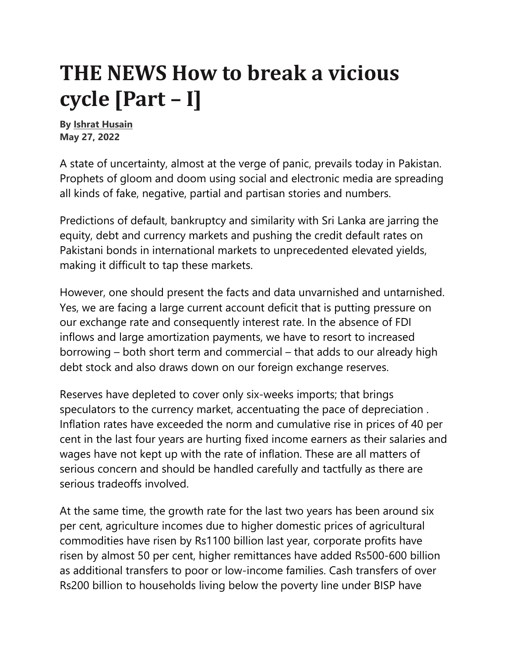## **THE NEWS How to break a vicious cycle [Part – I]**

**By Ishrat Husain May 27, 2022** 

A state of uncertainty, almost at the verge of panic, prevails today in Pakistan. Prophets of gloom and doom using social and electronic media are spreading all kinds of fake, negative, partial and partisan stories and numbers.

Predictions of default, bankruptcy and similarity with Sri Lanka are jarring the equity, debt and currency markets and pushing the credit default rates on Pakistani bonds in international markets to unprecedented elevated yields, making it difficult to tap these markets.

However, one should present the facts and data unvarnished and untarnished. Yes, we are facing a large current account deficit that is putting pressure on our exchange rate and consequently interest rate. In the absence of FDI inflows and large amortization payments, we have to resort to increased borrowing – both short term and commercial – that adds to our already high debt stock and also draws down on our foreign exchange reserves.

Reserves have depleted to cover only six-weeks imports; that brings speculators to the currency market, accentuating the pace of depreciation . Inflation rates have exceeded the norm and cumulative rise in prices of 40 per cent in the last four years are hurting fixed income earners as their salaries and wages have not kept up with the rate of inflation. These are all matters of serious concern and should be handled carefully and tactfully as there are serious tradeoffs involved.

At the same time, the growth rate for the last two years has been around six per cent, agriculture incomes due to higher domestic prices of agricultural commodities have risen by Rs1100 billion last year, corporate profits have risen by almost 50 per cent, higher remittances have added Rs500-600 billion as additional transfers to poor or low-income families. Cash transfers of over Rs200 billion to households living below the poverty line under BISP have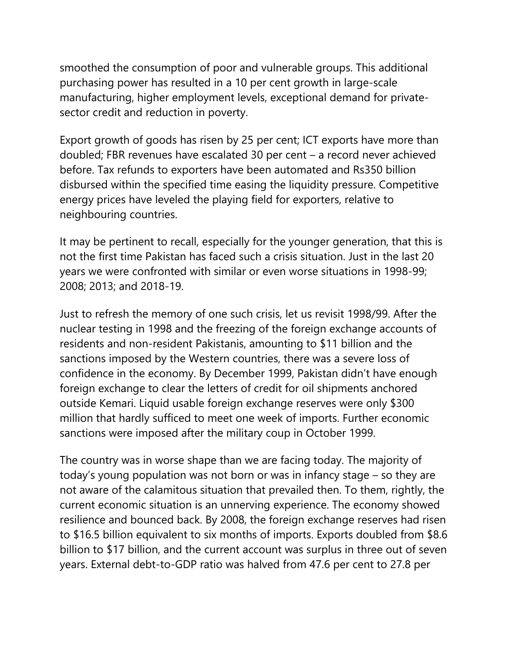smoothed the consumption of poor and vulnerable groups. This additional purchasing power has resulted in a 10 per cent growth in large-scale manufacturing, higher employment levels, exceptional demand for privatesector credit and reduction in poverty.

Export growth of goods has risen by 25 per cent; ICT exports have more than doubled; FBR revenues have escalated 30 per cent – a record never achieved before. Tax refunds to exporters have been automated and Rs350 billion disbursed within the specified time easing the liquidity pressure. Competitive energy prices have leveled the playing field for exporters, relative to neighbouring countries.

It may be pertinent to recall, especially for the younger generation, that this is not the first time Pakistan has faced such a crisis situation. Just in the last 20 years we were confronted with similar or even worse situations in 1998-99; 2008; 2013; and 2018-19.

Just to refresh the memory of one such crisis, let us revisit 1998/99. After the nuclear testing in 1998 and the freezing of the foreign exchange accounts of residents and non-resident Pakistanis, amounting to \$11 billion and the sanctions imposed by the Western countries, there was a severe loss of confidence in the economy. By December 1999, Pakistan didn't have enough foreign exchange to clear the letters of credit for oil shipments anchored outside Kemari. Liquid usable foreign exchange reserves were only \$300 million that hardly sufficed to meet one week of imports. Further economic sanctions were imposed after the military coup in October 1999.

The country was in worse shape than we are facing today. The majority of today's young population was not born or was in infancy stage – so they are not aware of the calamitous situation that prevailed then. To them, rightly, the current economic situation is an unnerving experience. The economy showed resilience and bounced back. By 2008, the foreign exchange reserves had risen to \$16.5 billion equivalent to six months of imports. Exports doubled from \$8.6 billion to \$17 billion, and the current account was surplus in three out of seven years. External debt-to-GDP ratio was halved from 47.6 per cent to 27.8 per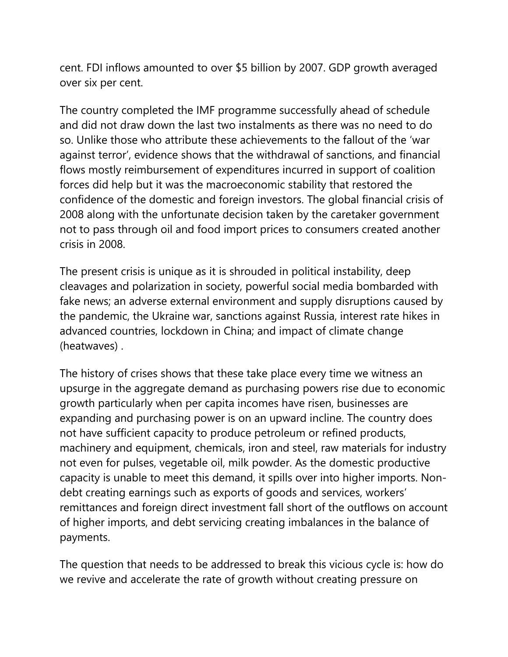cent. FDI inflows amounted to over \$5 billion by 2007. GDP growth averaged over six per cent.

The country completed the IMF programme successfully ahead of schedule and did not draw down the last two instalments as there was no need to do so. Unlike those who attribute these achievements to the fallout of the 'war against terror', evidence shows that the withdrawal of sanctions, and financial flows mostly reimbursement of expenditures incurred in support of coalition forces did help but it was the macroeconomic stability that restored the confidence of the domestic and foreign investors. The global financial crisis of 2008 along with the unfortunate decision taken by the caretaker government not to pass through oil and food import prices to consumers created another crisis in 2008.

The present crisis is unique as it is shrouded in political instability, deep cleavages and polarization in society, powerful social media bombarded with fake news; an adverse external environment and supply disruptions caused by the pandemic, the Ukraine war, sanctions against Russia, interest rate hikes in advanced countries, lockdown in China; and impact of climate change (heatwaves) .

The history of crises shows that these take place every time we witness an upsurge in the aggregate demand as purchasing powers rise due to economic growth particularly when per capita incomes have risen, businesses are expanding and purchasing power is on an upward incline. The country does not have sufficient capacity to produce petroleum or refined products, machinery and equipment, chemicals, iron and steel, raw materials for industry not even for pulses, vegetable oil, milk powder. As the domestic productive capacity is unable to meet this demand, it spills over into higher imports. Nondebt creating earnings such as exports of goods and services, workers' remittances and foreign direct investment fall short of the outflows on account of higher imports, and debt servicing creating imbalances in the balance of payments.

The question that needs to be addressed to break this vicious cycle is: how do we revive and accelerate the rate of growth without creating pressure on